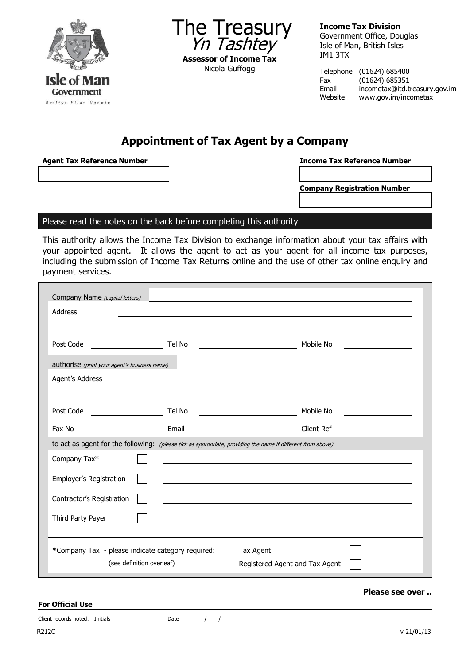



**Income Tax Division** Government Office, Douglas Isle of Man, British Isles IM1 3TX

Telephone (01624) 685400 Fax (01624) 685351 incometax@itd.treasury.gov.im Website www.gov.im/incometax

# **Appointment of Tax Agent by a Company**

**Agent Tax Reference Number Income Tax Reference Number**

**Company Registration Number**

### Please read the notes on the back before completing this authority

This authority allows the Income Tax Division to exchange information about your tax affairs with your appointed agent. It allows the agent to act as your agent for all income tax purposes, including the submission of Income Tax Returns online and the use of other tax online enquiry and payment services.

| Company Name (capital letters)<br><b>Address</b>                                                            |        |            |  |  |
|-------------------------------------------------------------------------------------------------------------|--------|------------|--|--|
| Post Code                                                                                                   | Tel No | Mobile No  |  |  |
| authorise (print your agent's business name)                                                                |        |            |  |  |
| Agent's Address                                                                                             |        |            |  |  |
|                                                                                                             |        |            |  |  |
| Post Code                                                                                                   | Tel No | Mobile No  |  |  |
| Fax No                                                                                                      | Email  | Client Ref |  |  |
| to act as agent for the following: (please tick as appropriate, providing the name if different from above) |        |            |  |  |
| Company Tax*                                                                                                |        |            |  |  |
| Employer's Registration                                                                                     |        |            |  |  |
| Contractor's Registration                                                                                   |        |            |  |  |
| Third Party Payer                                                                                           |        |            |  |  |
|                                                                                                             |        |            |  |  |
| *Company Tax - please indicate category required:<br>Tax Agent                                              |        |            |  |  |
| (see definition overleaf)<br>Registered Agent and Tax Agent                                                 |        |            |  |  |

#### **Please see over ..**

**For Official Use**

Client records noted: Initials Date / / /